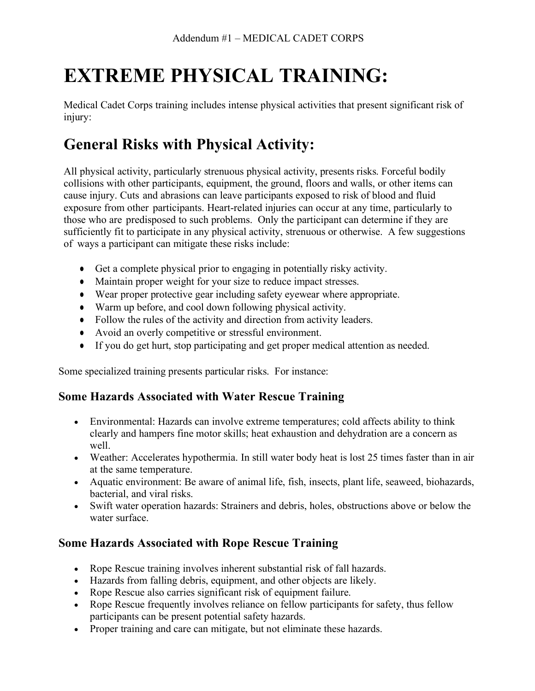# **EXTREME PHYSICAL TRAINING:**

Medical Cadet Corps training includes intense physical activities that present significant risk of injury:

## **General Risks with Physical Activity:**

All physical activity, particularly strenuous physical activity, presents risks. Forceful bodily collisions with other participants, equipment, the ground, floors and walls, or other items can cause injury. Cuts and abrasions can leave participants exposed to risk of blood and fluid exposure from other participants. Heart-related injuries can occur at any time, particularly to those who are predisposed to such problems. Only the participant can determine if they are sufficiently fit to participate in any physical activity, strenuous or otherwise. A few suggestions of ways a participant can mitigate these risks include:

- Get a complete physical prior to engaging in potentially risky activity.
- Maintain proper weight for your size to reduce impact stresses.
- Wear proper protective gear including safety eyewear where appropriate.
- Warm up before, and cool down following physical activity.
- Follow the rules of the activity and direction from activity leaders.
- Avoid an overly competitive or stressful environment.
- If you do get hurt, stop participating and get proper medical attention as needed.

Some specialized training presents particular risks. For instance:

#### **Some Hazards Associated with Water Rescue Training**

- Environmental: Hazards can involve extreme temperatures; cold affects ability to think clearly and hampers fine motor skills; heat exhaustion and dehydration are a concern as well.
- Weather: Accelerates hypothermia. In still water body heat is lost 25 times faster than in air at the same temperature.
- Aquatic environment: Be aware of animal life, fish, insects, plant life, seaweed, biohazards, bacterial, and viral risks.
- Swift water operation hazards: Strainers and debris, holes, obstructions above or below the water surface.

### **Some Hazards Associated with Rope Rescue Training**

- Rope Rescue training involves inherent substantial risk of fall hazards.
- Hazards from falling debris, equipment, and other objects are likely.
- Rope Rescue also carries significant risk of equipment failure.
- Rope Rescue frequently involves reliance on fellow participants for safety, thus fellow participants can be present potential safety hazards.
- Proper training and care can mitigate, but not eliminate these hazards.